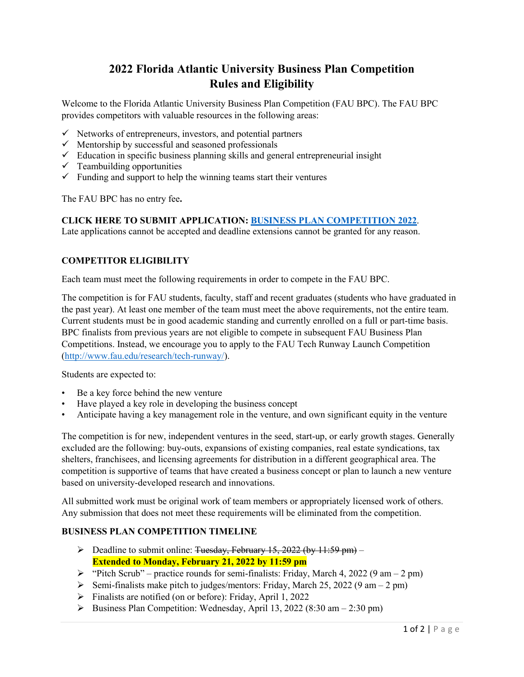# **2022 Florida Atlantic University Business Plan Competition Rules and Eligibility**

Welcome to the Florida Atlantic University Business Plan Competition (FAU BPC). The FAU BPC provides competitors with valuable resources in the following areas:

- $\checkmark$  Networks of entrepreneurs, investors, and potential partners
- $\checkmark$  Mentorship by successful and seasoned professionals
- $\checkmark$  Education in specific business planning skills and general entrepreneurial insight
- $\checkmark$  Teambuilding opportunities
- $\checkmark$  Funding and support to help the winning teams start their ventures

The FAU BPC has no entry fee**.** 

### **CLICK HERE TO SUBMIT APPLICATION: [BUSINESS PLAN COMPETITION 2022](https://form.jotform.com/203238483929161)**.

Late applications cannot be accepted and deadline extensions cannot be granted for any reason.

## **COMPETITOR ELIGIBILITY**

Each team must meet the following requirements in order to compete in the FAU BPC.

The competition is for FAU students, faculty, staff and recent graduates (students who have graduated in the past year). At least one member of the team must meet the above requirements, not the entire team. Current students must be in good academic standing and currently enrolled on a full or part-time basis. BPC finalists from previous years are not eligible to compete in subsequent FAU Business Plan Competitions. Instead, we encourage you to apply to the FAU Tech Runway Launch Competition [\(http://www.fau.edu/research/tech-runway/\)](http://www.fau.edu/research/tech-runway/).

Students are expected to:

- Be a key force behind the new venture
- Have played a key role in developing the business concept
- Anticipate having a key management role in the venture, and own significant equity in the venture

The competition is for new, independent ventures in the seed, start-up, or early growth stages. Generally excluded are the following: buy‐outs, expansions of existing companies, real estate syndications, tax shelters, franchisees, and licensing agreements for distribution in a different geographical area. The competition is supportive of teams that have created a business concept or plan to launch a new venture based on university‐developed research and innovations.

All submitted work must be original work of team members or appropriately licensed work of others. Any submission that does not meet these requirements will be eliminated from the competition.

## **BUSINESS PLAN COMPETITION TIMELINE**

- $\triangleright$  Deadline to submit online: Tuesday, February 15, 2022 (by 11:59 pm) **Extended to Monday, February 21, 2022 by 11:59 pm**
- $\blacktriangleright$  "Pitch Scrub" practice rounds for semi-finalists: Friday, March 4, 2022 (9 am 2 pm)
- Semi-finalists make pitch to judges/mentors: Friday, March 25, 2022 (9 am 2 pm)
- Finalists are notified (on or before): Friday, April 1, 2022
- $\triangleright$  Business Plan Competition: Wednesday, April 13, 2022 (8:30 am 2:30 pm)